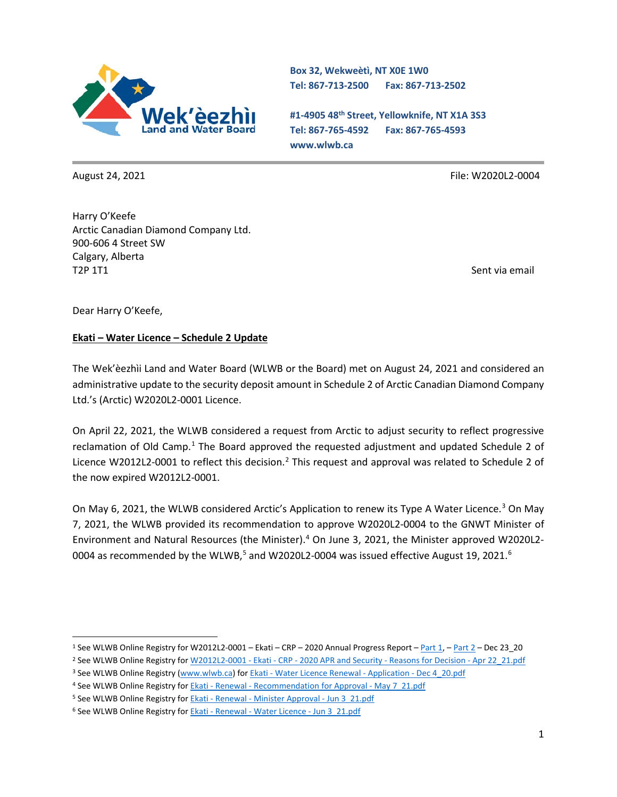

**Box 32, Wekweètì, NT X0E 1W0 Tel: 867-713-2500 Fax: 867-713-2502** 

**#1-4905 48th Street, Yellowknife, NT X1A 3S3 Tel: 867-765-4592 Fax: 867-765-4593 www.wlwb.ca**

August 24, 2021 **File: W2020L2-0004** File: W2020L2-0004

Harry O'Keefe Arctic Canadian Diamond Company Ltd. 900-606 4 Street SW Calgary, Alberta T2P 1T1

Dear Harry O'Keefe,

## **Ekati – Water Licence – Schedule 2 Update**

The Wek'èezhìi Land and Water Board (WLWB or the Board) met on August 24, 2021 and considered an administrative update to the security deposit amount in Schedule 2 of Arctic Canadian Diamond Company Ltd.'s (Arctic) W2020L2-0001 Licence.

On April 22, 2021, the WLWB considered a request from Arctic to adjust security to reflect progressive reclamation of Old Camp.<sup>[1](#page-0-0)</sup> The Board approved the requested adjustment and updated Schedule 2 of Licence W[2](#page-0-1)012L2-0001 to reflect this decision.<sup>2</sup> This request and approval was related to Schedule 2 of the now expired W2012L2-0001.

On May 6, 2021, the WLWB considered Arctic's Application to renew its Type A Water Licence.<sup>[3](#page-0-2)</sup> On May 7, 2021, the WLWB provided its recommendation to approve W2020L2-0004 to the GNWT Minister of Environment and Natural Resources (the Minister).[4](#page-0-3) On June 3, 2021, the Minister approved W2020L2- 0004 as recommended by the WLWB,<sup>[5](#page-0-4)</sup> and W2020L2-0004 was issued effective August 19, 2021.<sup>6</sup>

<span id="page-0-0"></span><sup>1</sup> See WLWB Online Registry for W2012L2-0001 – Ekati – CRP – 2020 Annual Progress Report – [Part 1,](https://registry.mvlwb.ca/Documents/W2012L2-0001/W2012L2-0001%20-%20Ekati%20-%20CRP%20-%202020%20Annual%20Progress%20Report%20-%20Part%201%20-%20Dec%2023_20.pdf) – [Part 2](https://registry.mvlwb.ca/Documents/W2012L2-0001/W2012L2-0001%20-%20Ekati%20-%20CRP%20-%202020%20Annual%20Progress%20Report%20-%20Part%202%20-%20Dec%2023_20.pdf) – Dec 23\_20

<span id="page-0-1"></span><sup>&</sup>lt;sup>2</sup> See WLWB Online Registry for W2012L2-0001 - Ekati - CRP - [2020 APR and Security -](https://registry.mvlwb.ca/Documents/W2012L2-0001/W2012L2-0001%20-%20Ekati%20-%20CRP%20-%202020%20APR%20and%20Security%20-%20Reasons%20for%20Decision%20-%20Apr%2022_21.pdf) Reasons for Decision - Apr 22 21.pdf

<span id="page-0-2"></span><sup>&</sup>lt;sup>3</sup> See WLWB Online Registry [\(www.wlwb.ca\)](http://www.wlwb.ca/) for Ekati - [Water Licence Renewal -](https://registry.mvlwb.ca/Documents/W2020L2-0004/Ekati%20-%20Water%20Licence%20Renewal%20-%20Application%20-%20Dec%204_20.pdf) Application - Dec 4 20.pdf

<span id="page-0-3"></span><sup>4</sup> See WLWB Online Registry for **Ekati - Renewal - [Recommendation for Approval -](https://registry.mvlwb.ca/Documents/W2020L2-0004/Ekati%20-%20Renewal%20-%20Recommendation%20for%20Approval%20-%20May%207_21.pdf) May 7** 21.pdf

<span id="page-0-4"></span><sup>5</sup> See WLWB Online Registry for Ekati - Renewal - [Minister Approval -](https://registry.mvlwb.ca/Documents/W2020L2-0004/Ekati%20-%20Renewal%20-%20Minister%20Approval%20-%20Jun%203_21.pdf) Jun 3\_21.pdf

<span id="page-0-5"></span><sup>&</sup>lt;sup>6</sup> See WLWB Online Registry for **Ekati - Renewal - [Water Licence -](https://registry.mvlwb.ca/Documents/W2020L2-0004/Ekati%20-%20Renewal%20-%20Water%20Licence%20-%20Jun%203_21.pdf) Jun 3** 21.pdf